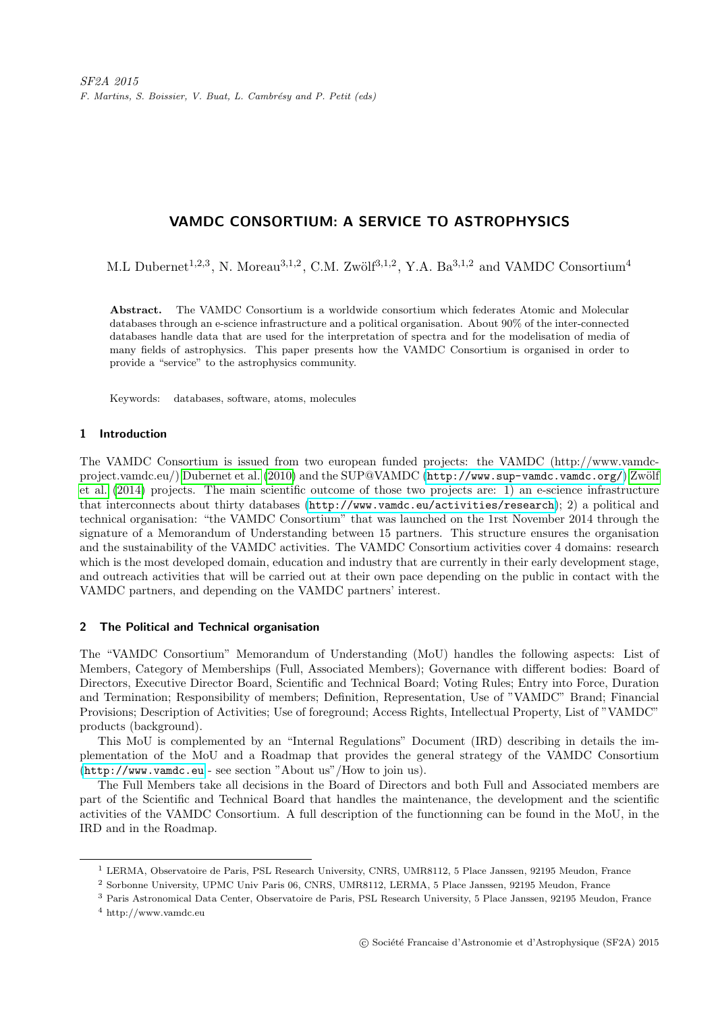# VAMDC CONSORTIUM: A SERVICE TO ASTROPHYSICS

M.L Dubernet<sup>1,2,3</sup>, N. Moreau<sup>3,1,2</sup>, C.M. Zwölf<sup>3,1,2</sup>, Y.A. Ba<sup>3,1,2</sup> and VAMDC Consortium<sup>4</sup>

Abstract. The VAMDC Consortium is a worldwide consortium which federates Atomic and Molecular databases through an e-science infrastructure and a political organisation. About 90% of the inter-connected databases handle data that are used for the interpretation of spectra and for the modelisation of media of many fields of astrophysics. This paper presents how the VAMDC Consortium is organised in order to provide a "service" to the astrophysics community.

Keywords: databases, software, atoms, molecules

# 1 Introduction

The VAMDC Consortium is issued from two european funded projects: the VAMDC (http://www.vamdc-project.vamdc.eu/) [Dubernet et al.](#page-3-0) [\(2010\)](#page-3-0) and the SUP@VAMDC (<http://www.sup-vamdc.vamdc.org/>) Zwölf [et al.](#page-3-1) [\(2014\)](#page-3-1) projects. The main scientific outcome of those two projects are: 1) an e-science infrastructure that interconnects about thirty databases (<http://www.vamdc.eu/activities/research>); 2) a political and technical organisation: "the VAMDC Consortium" that was launched on the 1rst November 2014 through the signature of a Memorandum of Understanding between 15 partners. This structure ensures the organisation and the sustainability of the VAMDC activities. The VAMDC Consortium activities cover 4 domains: research which is the most developed domain, education and industry that are currently in their early development stage, and outreach activities that will be carried out at their own pace depending on the public in contact with the VAMDC partners, and depending on the VAMDC partners' interest.

### 2 The Political and Technical organisation

The "VAMDC Consortium" Memorandum of Understanding (MoU) handles the following aspects: List of Members, Category of Memberships (Full, Associated Members); Governance with different bodies: Board of Directors, Executive Director Board, Scientific and Technical Board; Voting Rules; Entry into Force, Duration and Termination; Responsibility of members; Definition, Representation, Use of "VAMDC" Brand; Financial Provisions; Description of Activities; Use of foreground; Access Rights, Intellectual Property, List of "VAMDC" products (background).

This MoU is complemented by an "Internal Regulations" Document (IRD) describing in details the implementation of the MoU and a Roadmap that provides the general strategy of the VAMDC Consortium (<http://www.vamdc.eu> - see section "About us"/How to join us).

The Full Members take all decisions in the Board of Directors and both Full and Associated members are part of the Scientific and Technical Board that handles the maintenance, the development and the scientific activities of the VAMDC Consortium. A full description of the functionning can be found in the MoU, in the IRD and in the Roadmap.

<sup>&</sup>lt;sup>1</sup> LERMA, Observatoire de Paris, PSL Research University, CNRS, UMR8112, 5 Place Janssen, 92195 Meudon, France

<sup>2</sup> Sorbonne University, UPMC Univ Paris 06, CNRS, UMR8112, LERMA, 5 Place Janssen, 92195 Meudon, France

<sup>3</sup> Paris Astronomical Data Center, Observatoire de Paris, PSL Research University, 5 Place Janssen, 92195 Meudon, France

<sup>4</sup> http://www.vamdc.eu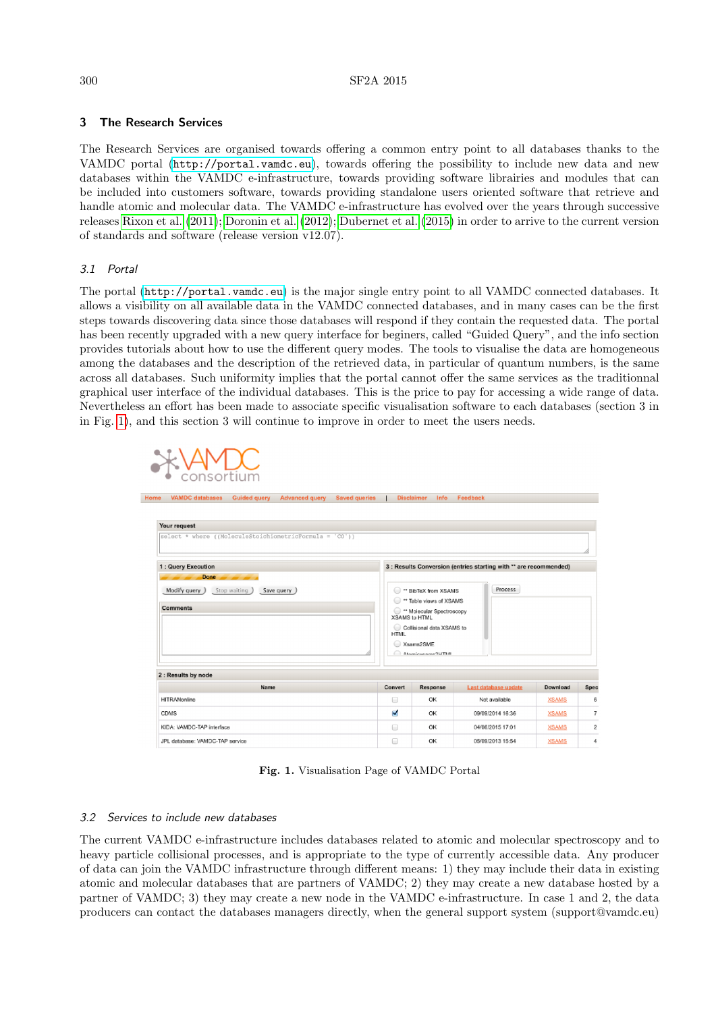# 3 The Research Services

The Research Services are organised towards offering a common entry point to all databases thanks to the VAMDC portal (<http://portal.vamdc.eu>), towards offering the possibility to include new data and new databases within the VAMDC e-infrastructure, towards providing software librairies and modules that can be included into customers software, towards providing standalone users oriented software that retrieve and handle atomic and molecular data. The VAMDC e-infrastructure has evolved over the years through successive releases [Rixon et al.](#page-3-2) [\(2011\)](#page-3-2); [Doronin et al.](#page-3-3) [\(2012\)](#page-3-3); [Dubernet et al.](#page-3-4) [\(2015\)](#page-3-4) in order to arrive to the current version of standards and software (release version v12.07).

# 3.1 Portal

The portal (<http://portal.vamdc.eu>) is the major single entry point to all VAMDC connected databases. It allows a visibility on all available data in the VAMDC connected databases, and in many cases can be the first steps towards discovering data since those databases will respond if they contain the requested data. The portal has been recently upgraded with a new query interface for beginers, called "Guided Query", and the info section provides tutorials about how to use the different query modes. The tools to visualise the data are homogeneous among the databases and the description of the retrieved data, in particular of quantum numbers, is the same across all databases. Such uniformity implies that the portal cannot offer the same services as the traditionnal graphical user interface of the individual databases. This is the price to pay for accessing a wide range of data. Nevertheless an effort has been made to associate specific visualisation software to each databases (section 3 in in Fig. [1\)](#page-1-0), and this section 3 will continue to improve in order to meet the users needs.



<span id="page-1-0"></span>Fig. 1. Visualisation Page of VAMDC Portal

# 3.2 Services to include new databases

The current VAMDC e-infrastructure includes databases related to atomic and molecular spectroscopy and to heavy particle collisional processes, and is appropriate to the type of currently accessible data. Any producer of data can join the VAMDC infrastructure through different means: 1) they may include their data in existing atomic and molecular databases that are partners of VAMDC; 2) they may create a new database hosted by a partner of VAMDC; 3) they may create a new node in the VAMDC e-infrastructure. In case 1 and 2, the data producers can contact the databases managers directly, when the general support system (support@vamdc.eu)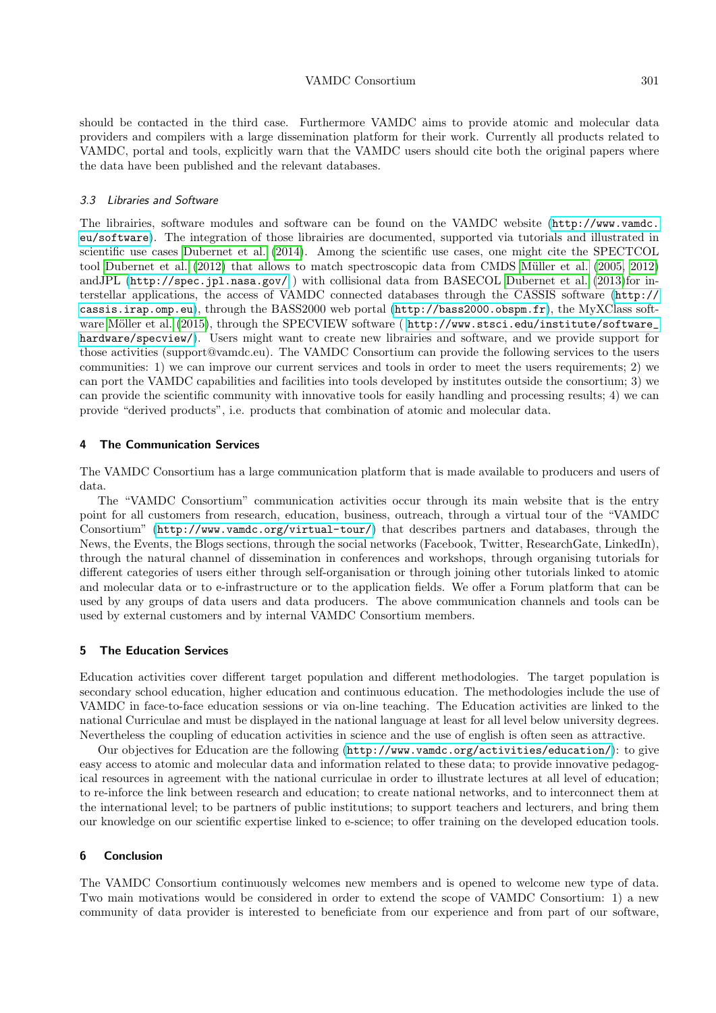should be contacted in the third case. Furthermore VAMDC aims to provide atomic and molecular data providers and compilers with a large dissemination platform for their work. Currently all products related to VAMDC, portal and tools, explicitly warn that the VAMDC users should cite both the original papers where the data have been published and the relevant databases.

### 3.3 Libraries and Software

The librairies, software modules and software can be found on the VAMDC website ([http://www.vamdc.](http://www.vamdc.eu/software) [eu/software](http://www.vamdc.eu/software)). The integration of those librairies are documented, supported via tutorials and illustrated in scientific use cases [Dubernet et al.](#page-3-5) [\(2014\)](#page-3-5). Among the scientific use cases, one might cite the SPECTCOL tool [Dubernet et al.](#page-3-6) [\(2012\)](#page-3-6) that allows to match spectroscopic data from CMDS Müller et al. [\(2005,](#page-3-7) [2012\)](#page-3-8) andJPL (<http://spec.jpl.nasa.gov/> ) with collisional data from BASECOL [Dubernet et al.](#page-3-9) [\(2013\)](#page-3-9)for interstellar applications, the access of VAMDC connected databases through the CASSIS software ([http://](http://cassis.irap.omp.eu) [cassis.irap.omp.eu](http://cassis.irap.omp.eu)), through the BASS2000 web portal (<http://bass2000.obspm.fr>), the MyXClass soft-ware Möller et al. [\(2015\)](#page-3-10), through the SPECVIEW software ( http://www.stsci.edu/institute/software [hardware/specview/](http://www.stsci.edu/institute/software_hardware/specview/)). Users might want to create new librairies and software, and we provide support for those activities (support@vamdc.eu). The VAMDC Consortium can provide the following services to the users communities: 1) we can improve our current services and tools in order to meet the users requirements; 2) we can port the VAMDC capabilities and facilities into tools developed by institutes outside the consortium; 3) we can provide the scientific community with innovative tools for easily handling and processing results; 4) we can provide "derived products", i.e. products that combination of atomic and molecular data.

#### 4 The Communication Services

The VAMDC Consortium has a large communication platform that is made available to producers and users of data.

The "VAMDC Consortium" communication activities occur through its main website that is the entry point for all customers from research, education, business, outreach, through a virtual tour of the "VAMDC Consortium" (<http://www.vamdc.org/virtual-tour/>) that describes partners and databases, through the News, the Events, the Blogs sections, through the social networks (Facebook, Twitter, ResearchGate, LinkedIn), through the natural channel of dissemination in conferences and workshops, through organising tutorials for different categories of users either through self-organisation or through joining other tutorials linked to atomic and molecular data or to e-infrastructure or to the application fields. We offer a Forum platform that can be used by any groups of data users and data producers. The above communication channels and tools can be used by external customers and by internal VAMDC Consortium members.

## 5 The Education Services

Education activities cover different target population and different methodologies. The target population is secondary school education, higher education and continuous education. The methodologies include the use of VAMDC in face-to-face education sessions or via on-line teaching. The Education activities are linked to the national Curriculae and must be displayed in the national language at least for all level below university degrees. Nevertheless the coupling of education activities in science and the use of english is often seen as attractive.

Our objectives for Education are the following (<http://www.vamdc.org/activities/education/>): to give easy access to atomic and molecular data and information related to these data; to provide innovative pedagogical resources in agreement with the national curriculae in order to illustrate lectures at all level of education; to re-inforce the link between research and education; to create national networks, and to interconnect them at the international level; to be partners of public institutions; to support teachers and lecturers, and bring them our knowledge on our scientific expertise linked to e-science; to offer training on the developed education tools.

### 6 Conclusion

The VAMDC Consortium continuously welcomes new members and is opened to welcome new type of data. Two main motivations would be considered in order to extend the scope of VAMDC Consortium: 1) a new community of data provider is interested to beneficiate from our experience and from part of our software,